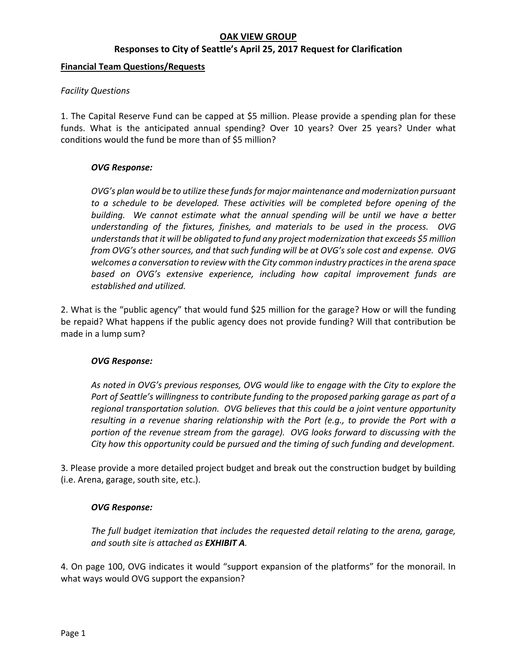# **OAK VIEW GROUP**

### **Responses to City of Seattle's April 25, 2017 Request for Clarification**

### **Financial Team Questions/Requests**

### *Facility Questions*

1. The Capital Reserve Fund can be capped at \$5 million. Please provide a spending plan for these funds. What is the anticipated annual spending? Over 10 years? Over 25 years? Under what conditions would the fund be more than of \$5 million?

### *OVG Response:*

*OVG's plan would be to utilize these funds for major maintenance and modernization pursuant to a schedule to be developed. These activities will be completed before opening of the building. We cannot estimate what the annual spending will be until we have a better understanding of the fixtures, finishes, and materials to be used in the process. OVG understands that it will be obligated to fund any project modernization that exceeds \$5 million from OVG's other sources, and that such funding will be at OVG's sole cost and expense. OVG welcomes a conversation to review with the City common industry practices in the arena space based on OVG's extensive experience, including how capital improvement funds are established and utilized.* 

2. What is the "public agency" that would fund \$25 million for the garage? How or will the funding be repaid? What happens if the public agency does not provide funding? Will that contribution be made in a lump sum?

### *OVG Response:*

*As noted in OVG's previous responses, OVG would like to engage with the City to explore the Port of Seattle's willingness to contribute funding to the proposed parking garage as part of a regional transportation solution. OVG believes that this could be a joint venture opportunity resulting in a revenue sharing relationship with the Port (e.g., to provide the Port with a portion of the revenue stream from the garage). OVG looks forward to discussing with the City how this opportunity could be pursued and the timing of such funding and development.* 

3. Please provide a more detailed project budget and break out the construction budget by building (i.e. Arena, garage, south site, etc.).

### *OVG Response:*

*The full budget itemization that includes the requested detail relating to the arena, garage, and south site is attached as EXHIBIT A.* 

4. On page 100, OVG indicates it would "support expansion of the platforms" for the monorail. In what ways would OVG support the expansion?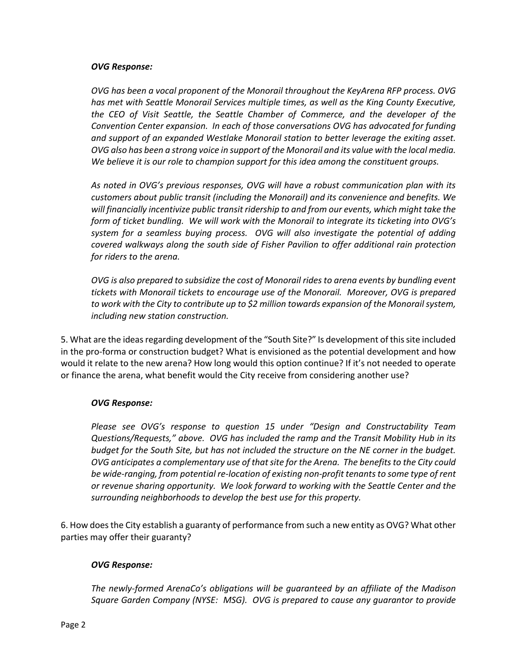### *OVG Response:*

*OVG has been a vocal proponent of the Monorail throughout the KeyArena RFP process. OVG has met with Seattle Monorail Services multiple times, as well as the King County Executive, the CEO of Visit Seattle, the Seattle Chamber of Commerce, and the developer of the Convention Center expansion. In each of those conversations OVG has advocated for funding and support of an expanded Westlake Monorail station to better leverage the exiting asset. OVG also has been a strong voice in support of the Monorail and its value with the local media. We believe it is our role to champion support for this idea among the constituent groups.* 

*As noted in OVG's previous responses, OVG will have a robust communication plan with its customers about public transit (including the Monorail) and its convenience and benefits. We will financially incentivize public transit ridership to and from our events, which might take the form of ticket bundling. We will work with the Monorail to integrate its ticketing into OVG's system for a seamless buying process. OVG will also investigate the potential of adding covered walkways along the south side of Fisher Pavilion to offer additional rain protection for riders to the arena.* 

*OVG is also prepared to subsidize the cost of Monorail rides to arena events by bundling event tickets with Monorail tickets to encourage use of the Monorail. Moreover, OVG is prepared to work with the City to contribute up to \$2 million towards expansion of the Monorail system, including new station construction.* 

5. What are the ideas regarding development of the "South Site?" Is development of this site included in the pro‐forma or construction budget? What is envisioned as the potential development and how would it relate to the new arena? How long would this option continue? If it's not needed to operate or finance the arena, what benefit would the City receive from considering another use?

# *OVG Response:*

*Please see OVG's response to question 15 under "Design and Constructability Team Questions/Requests," above. OVG has included the ramp and the Transit Mobility Hub in its budget for the South Site, but has not included the structure on the NE corner in the budget. OVG anticipates a complementary use of that site for the Arena. The benefits to the City could be wide‐ranging, from potential re‐location of existing non‐profit tenants to some type of rent or revenue sharing opportunity. We look forward to working with the Seattle Center and the surrounding neighborhoods to develop the best use for this property.* 

6. How does the City establish a guaranty of performance from such a new entity as OVG? What other parties may offer their guaranty?

# *OVG Response:*

*The newly‐formed ArenaCo's obligations will be guaranteed by an affiliate of the Madison Square Garden Company (NYSE: MSG). OVG is prepared to cause any guarantor to provide*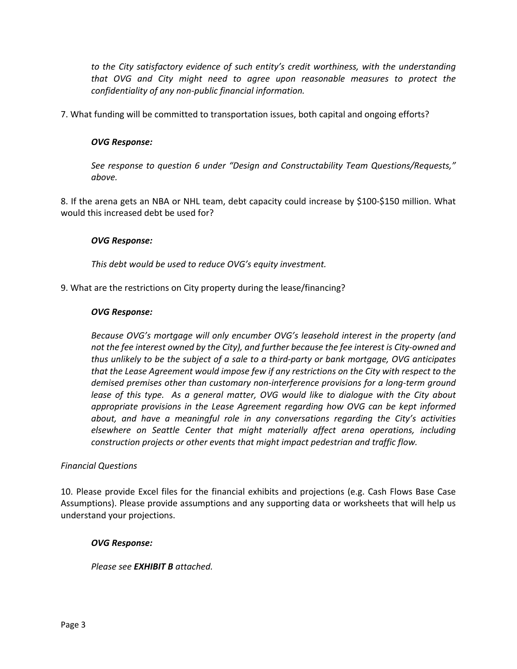*to the City satisfactory evidence of such entity's credit worthiness, with the understanding that OVG and City might need to agree upon reasonable measures to protect the confidentiality of any non‐public financial information.* 

7. What funding will be committed to transportation issues, both capital and ongoing efforts?

# *OVG Response:*

*See response to question 6 under "Design and Constructability Team Questions/Requests," above.* 

8. If the arena gets an NBA or NHL team, debt capacity could increase by \$100‐\$150 million. What would this increased debt be used for?

### *OVG Response:*

*This debt would be used to reduce OVG's equity investment.*

9. What are the restrictions on City property during the lease/financing?

### *OVG Response:*

*Because OVG's mortgage will only encumber OVG's leasehold interest in the property (and not the fee interest owned by the City), and further because the fee interest is City‐owned and thus unlikely to be the subject of a sale to a third‐party or bank mortgage, OVG anticipates that the Lease Agreement would impose few if any restrictions on the City with respect to the demised premises other than customary non‐interference provisions for a long‐term ground lease of this type. As a general matter, OVG would like to dialogue with the City about appropriate provisions in the Lease Agreement regarding how OVG can be kept informed about, and have a meaningful role in any conversations regarding the City's activities elsewhere on Seattle Center that might materially affect arena operations, including construction projects or other events that might impact pedestrian and traffic flow.* 

### *Financial Questions*

10. Please provide Excel files for the financial exhibits and projections (e.g. Cash Flows Base Case Assumptions). Please provide assumptions and any supporting data or worksheets that will help us understand your projections.

### *OVG Response:*

*Please see EXHIBIT B attached.*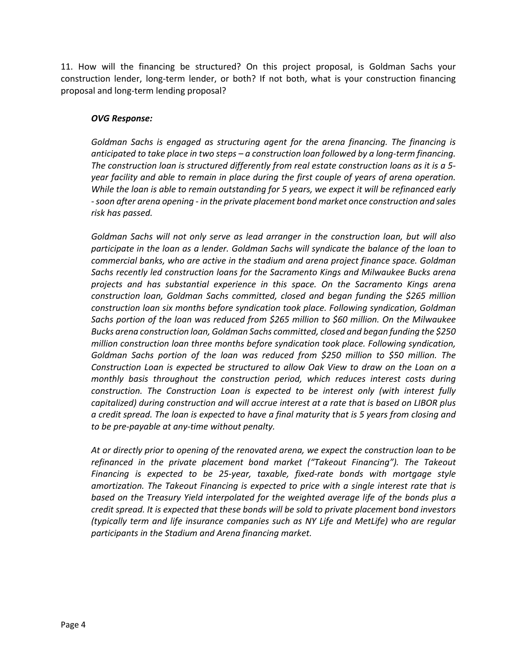11. How will the financing be structured? On this project proposal, is Goldman Sachs your construction lender, long-term lender, or both? If not both, what is your construction financing proposal and long‐term lending proposal?

### *OVG Response:*

*Goldman Sachs is engaged as structuring agent for the arena financing. The financing is anticipated to take place in two steps – a construction loan followed by a long‐term financing. The construction loan is structured differently from real estate construction loans as it is a 5‐ year facility and able to remain in place during the first couple of years of arena operation. While the loan is able to remain outstanding for 5 years, we expect it will be refinanced early ‐ soon after arena opening ‐ in the private placement bond market once construction and sales risk has passed.* 

*Goldman Sachs will not only serve as lead arranger in the construction loan, but will also participate in the loan as a lender. Goldman Sachs will syndicate the balance of the loan to commercial banks, who are active in the stadium and arena project finance space. Goldman Sachs recently led construction loans for the Sacramento Kings and Milwaukee Bucks arena projects and has substantial experience in this space. On the Sacramento Kings arena construction loan, Goldman Sachs committed, closed and began funding the \$265 million construction loan six months before syndication took place. Following syndication, Goldman Sachs portion of the loan was reduced from \$265 million to \$60 million. On the Milwaukee Bucks arena construction loan, Goldman Sachs committed, closed and began funding the \$250 million construction loan three months before syndication took place. Following syndication, Goldman Sachs portion of the loan was reduced from \$250 million to \$50 million. The Construction Loan is expected be structured to allow Oak View to draw on the Loan on a monthly basis throughout the construction period, which reduces interest costs during construction. The Construction Loan is expected to be interest only (with interest fully capitalized) during construction and will accrue interest at a rate that is based on LIBOR plus a credit spread. The loan is expected to have a final maturity that is 5 years from closing and to be pre‐payable at any‐time without penalty.* 

*At or directly prior to opening of the renovated arena, we expect the construction loan to be refinanced in the private placement bond market ("Takeout Financing"). The Takeout Financing is expected to be 25‐year, taxable, fixed‐rate bonds with mortgage style amortization. The Takeout Financing is expected to price with a single interest rate that is based on the Treasury Yield interpolated for the weighted average life of the bonds plus a credit spread. It is expected that these bonds will be sold to private placement bond investors (typically term and life insurance companies such as NY Life and MetLife) who are regular participants in the Stadium and Arena financing market.*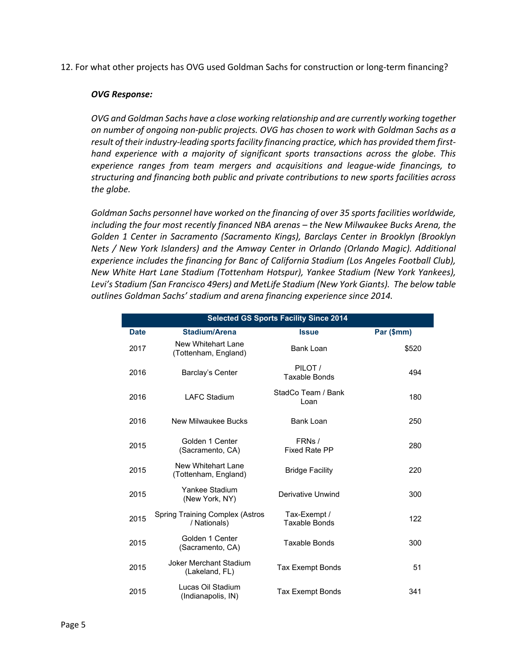12. For what other projects has OVG used Goldman Sachs for construction or long‐term financing?

### *OVG Response:*

*OVG and Goldman Sachs have a close working relationship and are currently working together on number of ongoing non‐public projects. OVG has chosen to work with Goldman Sachs as a result of their industry‐leading sports facility financing practice, which has provided them first‐ hand experience with a majority of significant sports transactions across the globe. This experience ranges from team mergers and acquisitions and league‐wide financings, to structuring and financing both public and private contributions to new sports facilities across the globe.* 

*Goldman Sachs personnel have worked on the financing of over 35 sports facilities worldwide, including the four most recently financed NBA arenas – the New Milwaukee Bucks Arena, the Golden 1 Center in Sacramento (Sacramento Kings), Barclays Center in Brooklyn (Brooklyn Nets / New York Islanders) and the Amway Center in Orlando (Orlando Magic). Additional experience includes the financing for Banc of California Stadium (Los Angeles Football Club), New White Hart Lane Stadium (Tottenham Hotspur), Yankee Stadium (New York Yankees), Levi's Stadium (San Francisco 49ers) and MetLife Stadium (New York Giants). The below table outlines Goldman Sachs' stadium and arena financing experience since 2014.* 

| <b>Selected GS Sports Facility Since 2014</b> |                                                        |                                      |            |  |
|-----------------------------------------------|--------------------------------------------------------|--------------------------------------|------------|--|
| <b>Date</b>                                   | <b>Stadium/Arena</b>                                   | <b>Issue</b>                         | Par (\$mm) |  |
| 2017                                          | New Whitehart Lane<br>(Tottenham, England)             | Bank Loan                            | \$520      |  |
| 2016                                          | Barclay's Center                                       | PILOT /<br><b>Taxable Bonds</b>      | 494        |  |
| 2016                                          | I AFC Stadium                                          | StadCo Team / Bank<br>Loan           | 180        |  |
| 2016                                          | New Milwaukee Bucks                                    | Bank Loan                            | 250        |  |
| 2015                                          | Golden 1 Center<br>(Sacramento, CA)                    | FRNs /<br><b>Fixed Rate PP</b>       | 280        |  |
| 2015                                          | New Whitehart Lane<br>(Tottenham, England)             | <b>Bridge Facility</b>               | 220        |  |
| 2015                                          | Yankee Stadium<br>(New York, NY)                       | Derivative Unwind                    | 300        |  |
| 2015                                          | <b>Spring Training Complex (Astros</b><br>/ Nationals) | Tax-Exempt /<br><b>Taxable Bonds</b> | 122        |  |
| 2015                                          | Golden 1 Center<br>(Sacramento, CA)                    | <b>Taxable Bonds</b>                 | 300        |  |
| 2015                                          | <b>Joker Merchant Stadium</b><br>(Lakeland, FL)        | Tax Exempt Bonds                     | 51         |  |
| 2015                                          | Lucas Oil Stadium<br>(Indianapolis, IN)                | <b>Tax Exempt Bonds</b>              | 341        |  |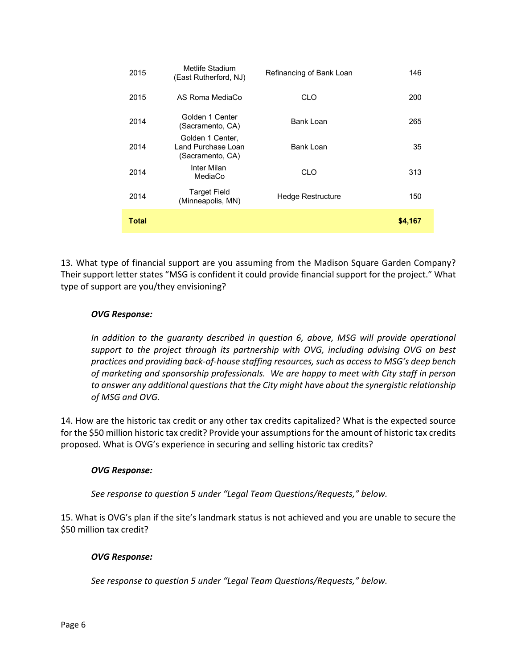| 2015  | Metlife Stadium<br>(East Rutherford, NJ)                   | Refinancing of Bank Loan | 146     |
|-------|------------------------------------------------------------|--------------------------|---------|
| 2015  | AS Roma MediaCo                                            | CLO                      | 200     |
| 2014  | Golden 1 Center<br>(Sacramento, CA)                        | Bank Loan                | 265     |
| 2014  | Golden 1 Center,<br>Land Purchase Loan<br>(Sacramento, CA) | <b>Bank Loan</b>         | 35      |
| 2014  | Inter Milan<br>MediaCo                                     | CLO                      | 313     |
| 2014  | <b>Target Field</b><br>(Minneapolis, MN)                   | Hedge Restructure        | 150     |
| Total |                                                            |                          | \$4,167 |

13. What type of financial support are you assuming from the Madison Square Garden Company? Their support letter states "MSG is confident it could provide financial support for the project." What type of support are you/they envisioning?

# *OVG Response:*

*In addition to the guaranty described in question 6, above, MSG will provide operational support to the project through its partnership with OVG, including advising OVG on best practices and providing back‐of‐house staffing resources, such as access to MSG's deep bench of marketing and sponsorship professionals. We are happy to meet with City staff in person to answer any additional questions that the City might have about the synergistic relationship of MSG and OVG.* 

14. How are the historic tax credit or any other tax credits capitalized? What is the expected source for the \$50 million historic tax credit? Provide your assumptions for the amount of historic tax credits proposed. What is OVG's experience in securing and selling historic tax credits?

# *OVG Response:*

*See response to question 5 under "Legal Team Questions/Requests," below.* 

15. What is OVG's plan if the site's landmark status is not achieved and you are unable to secure the \$50 million tax credit?

# *OVG Response:*

*See response to question 5 under "Legal Team Questions/Requests," below.*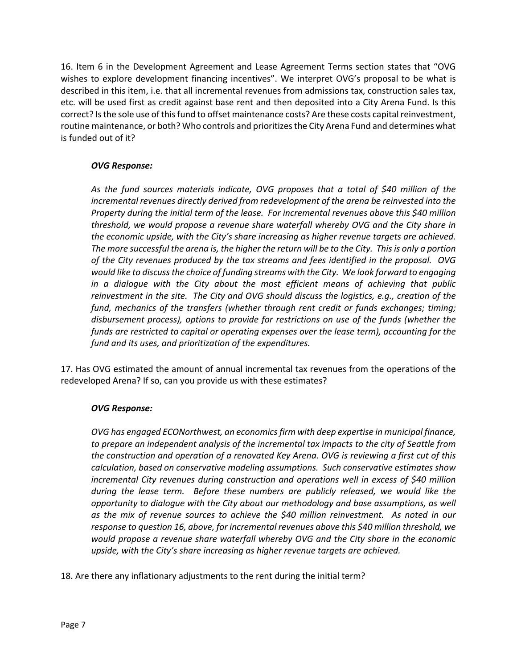16. Item 6 in the Development Agreement and Lease Agreement Terms section states that "OVG wishes to explore development financing incentives". We interpret OVG's proposal to be what is described in this item, i.e. that all incremental revenues from admissions tax, construction sales tax, etc. will be used first as credit against base rent and then deposited into a City Arena Fund. Is this correct? Is the sole use of this fund to offset maintenance costs? Are these costs capital reinvestment, routine maintenance, or both? Who controls and prioritizes the City Arena Fund and determines what is funded out of it?

# *OVG Response:*

*As the fund sources materials indicate, OVG proposes that a total of \$40 million of the incremental revenues directly derived from redevelopment of the arena be reinvested into the Property during the initial term of the lease. For incremental revenues above this \$40 million threshold, we would propose a revenue share waterfall whereby OVG and the City share in the economic upside, with the City's share increasing as higher revenue targets are achieved. The more successful the arena is, the higher the return will be to the City. This is only a portion of the City revenues produced by the tax streams and fees identified in the proposal. OVG would like to discuss the choice of funding streams with the City. We look forward to engaging in a dialogue with the City about the most efficient means of achieving that public reinvestment in the site. The City and OVG should discuss the logistics, e.g., creation of the fund, mechanics of the transfers (whether through rent credit or funds exchanges; timing; disbursement process), options to provide for restrictions on use of the funds (whether the funds are restricted to capital or operating expenses over the lease term), accounting for the fund and its uses, and prioritization of the expenditures.* 

17. Has OVG estimated the amount of annual incremental tax revenues from the operations of the redeveloped Arena? If so, can you provide us with these estimates?

# *OVG Response:*

*OVG has engaged ECONorthwest, an economics firm with deep expertise in municipal finance, to prepare an independent analysis of the incremental tax impacts to the city of Seattle from the construction and operation of a renovated Key Arena. OVG is reviewing a first cut of this calculation, based on conservative modeling assumptions. Such conservative estimates show incremental City revenues during construction and operations well in excess of \$40 million during the lease term. Before these numbers are publicly released, we would like the opportunity to dialogue with the City about our methodology and base assumptions, as well as the mix of revenue sources to achieve the \$40 million reinvestment. As noted in our response to question 16, above, for incremental revenues above this \$40 million threshold, we would propose a revenue share waterfall whereby OVG and the City share in the economic*  upside, with the City's share increasing as higher revenue targets are achieved.

18. Are there any inflationary adjustments to the rent during the initial term?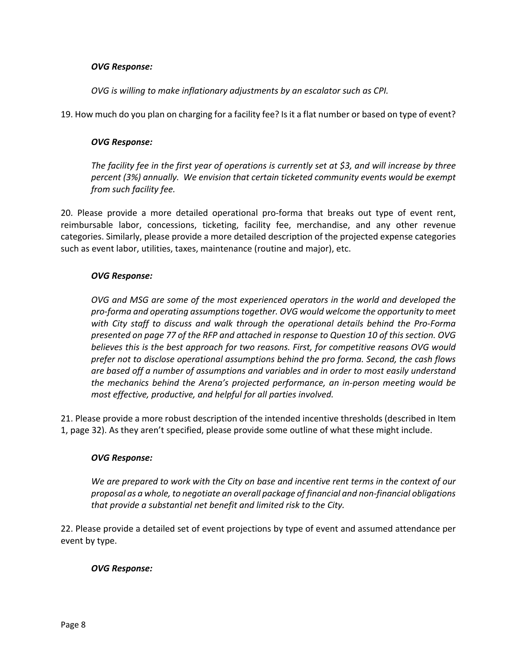### *OVG Response:*

*OVG is willing to make inflationary adjustments by an escalator such as CPI.* 

19. How much do you plan on charging for a facility fee? Is it a flat number or based on type of event?

### *OVG Response:*

*The facility fee in the first year of operations is currently set at \$3, and will increase by three percent (3%) annually. We envision that certain ticketed community events would be exempt from such facility fee.* 

20. Please provide a more detailed operational pro‐forma that breaks out type of event rent, reimbursable labor, concessions, ticketing, facility fee, merchandise, and any other revenue categories. Similarly, please provide a more detailed description of the projected expense categories such as event labor, utilities, taxes, maintenance (routine and major), etc.

### *OVG Response:*

*OVG and MSG are some of the most experienced operators in the world and developed the pro‐forma and operating assumptions together. OVG would welcome the opportunity to meet with City staff to discuss and walk through the operational details behind the Pro‐Forma presented on page 77 of the RFP and attached in response to Question 10 of this section. OVG believes this is the best approach for two reasons. First, for competitive reasons OVG would prefer not to disclose operational assumptions behind the pro forma. Second, the cash flows are based off a number of assumptions and variables and in order to most easily understand the mechanics behind the Arena's projected performance, an in‐person meeting would be most effective, productive, and helpful for all parties involved.* 

21. Please provide a more robust description of the intended incentive thresholds (described in Item 1, page 32). As they aren't specified, please provide some outline of what these might include.

### *OVG Response:*

*We are prepared to work with the City on base and incentive rent terms in the context of our proposal as a whole, to negotiate an overall package of financial and non‐financial obligations that provide a substantial net benefit and limited risk to the City.* 

22. Please provide a detailed set of event projections by type of event and assumed attendance per event by type.

# *OVG Response:*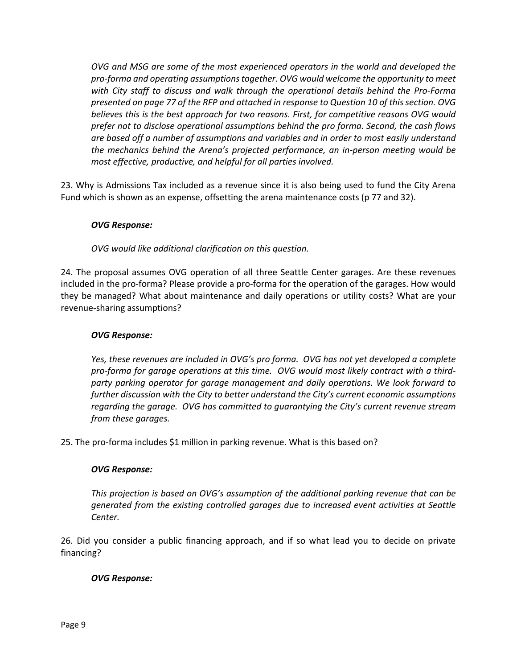*OVG and MSG are some of the most experienced operators in the world and developed the pro‐forma and operating assumptions together. OVG would welcome the opportunity to meet with City staff to discuss and walk through the operational details behind the Pro‐Forma presented on page 77 of the RFP and attached in response to Question 10 of this section. OVG believes this is the best approach for two reasons. First, for competitive reasons OVG would prefer not to disclose operational assumptions behind the pro forma. Second, the cash flows are based off a number of assumptions and variables and in order to most easily understand the mechanics behind the Arena's projected performance, an in‐person meeting would be most effective, productive, and helpful for all parties involved.* 

23. Why is Admissions Tax included as a revenue since it is also being used to fund the City Arena Fund which is shown as an expense, offsetting the arena maintenance costs (p 77 and 32).

# *OVG Response:*

*OVG would like additional clarification on this question.* 

24. The proposal assumes OVG operation of all three Seattle Center garages. Are these revenues included in the pro‐forma? Please provide a pro‐forma for the operation of the garages. How would they be managed? What about maintenance and daily operations or utility costs? What are your revenue‐sharing assumptions?

### *OVG Response:*

*Yes, these revenues are included in OVG's pro forma. OVG has not yet developed a complete pro‐forma for garage operations at this time. OVG would most likely contract with a third‐ party parking operator for garage management and daily operations. We look forward to further discussion with the City to better understand the City's current economic assumptions regarding the garage. OVG has committed to guarantying the City's current revenue stream from these garages.* 

25. The pro‐forma includes \$1 million in parking revenue. What is this based on?

### *OVG Response:*

*This projection is based on OVG's assumption of the additional parking revenue that can be generated from the existing controlled garages due to increased event activities at Seattle Center.* 

26. Did you consider a public financing approach, and if so what lead you to decide on private financing?

### *OVG Response:*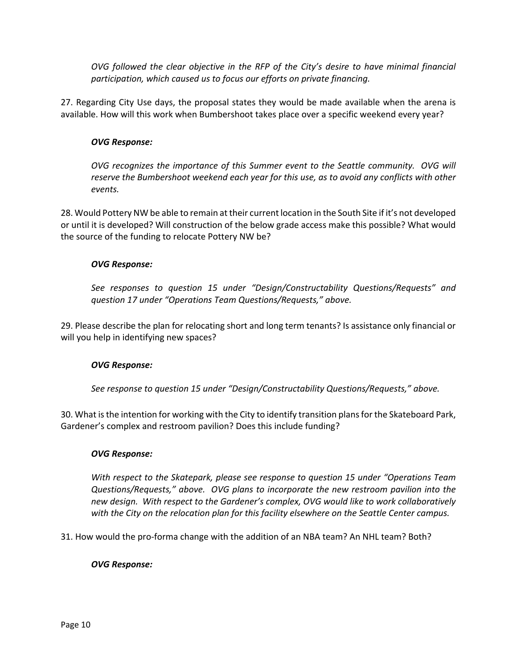*OVG followed the clear objective in the RFP of the City's desire to have minimal financial participation, which caused us to focus our efforts on private financing.* 

27. Regarding City Use days, the proposal states they would be made available when the arena is available. How will this work when Bumbershoot takes place over a specific weekend every year?

### *OVG Response:*

*OVG recognizes the importance of this Summer event to the Seattle community. OVG will reserve the Bumbershoot weekend each year for this use, as to avoid any conflicts with other events.* 

28. Would Pottery NW be able to remain at their current location in the South Site if it's not developed or until it is developed? Will construction of the below grade access make this possible? What would the source of the funding to relocate Pottery NW be?

### *OVG Response:*

*See responses to question 15 under "Design/Constructability Questions/Requests" and question 17 under "Operations Team Questions/Requests," above.*

29. Please describe the plan for relocating short and long term tenants? Is assistance only financial or will you help in identifying new spaces?

### *OVG Response:*

*See response to question 15 under "Design/Constructability Questions/Requests," above.*

30. What is the intention for working with the City to identify transition plans for the Skateboard Park, Gardener's complex and restroom pavilion? Does this include funding?

### *OVG Response:*

*With respect to the Skatepark, please see response to question 15 under "Operations Team Questions/Requests," above. OVG plans to incorporate the new restroom pavilion into the new design. With respect to the Gardener's complex, OVG would like to work collaboratively with the City on the relocation plan for this facility elsewhere on the Seattle Center campus.* 

31. How would the pro‐forma change with the addition of an NBA team? An NHL team? Both?

### *OVG Response:*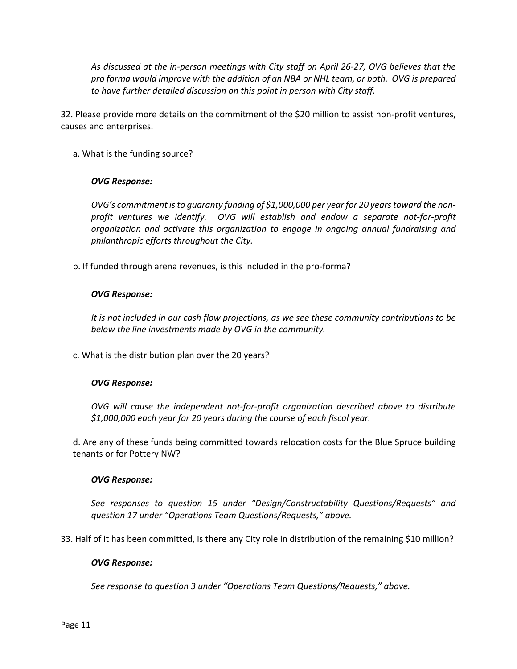*As discussed at the in‐person meetings with City staff on April 26‐27, OVG believes that the pro forma would improve with the addition of an NBA or NHL team, or both. OVG is prepared to have further detailed discussion on this point in person with City staff.* 

32. Please provide more details on the commitment of the \$20 million to assist non-profit ventures, causes and enterprises.

a. What is the funding source?

### *OVG Response:*

*OVG's commitment is to guaranty funding of \$1,000,000 per year for 20 years toward the non‐ profit ventures we identify. OVG will establish and endow a separate not‐for‐profit organization and activate this organization to engage in ongoing annual fundraising and philanthropic efforts throughout the City.* 

b. If funded through arena revenues, is this included in the pro‐forma?

### *OVG Response:*

*It is not included in our cash flow projections, as we see these community contributions to be below the line investments made by OVG in the community.*

c. What is the distribution plan over the 20 years?

### *OVG Response:*

*OVG will cause the independent not‐for‐profit organization described above to distribute \$1,000,000 each year for 20 years during the course of each fiscal year.*

d. Are any of these funds being committed towards relocation costs for the Blue Spruce building tenants or for Pottery NW?

### *OVG Response:*

*See responses to question 15 under "Design/Constructability Questions/Requests" and question 17 under "Operations Team Questions/Requests," above.*

33. Half of it has been committed, is there any City role in distribution of the remaining \$10 million?

### *OVG Response:*

*See response to question 3 under "Operations Team Questions/Requests," above.*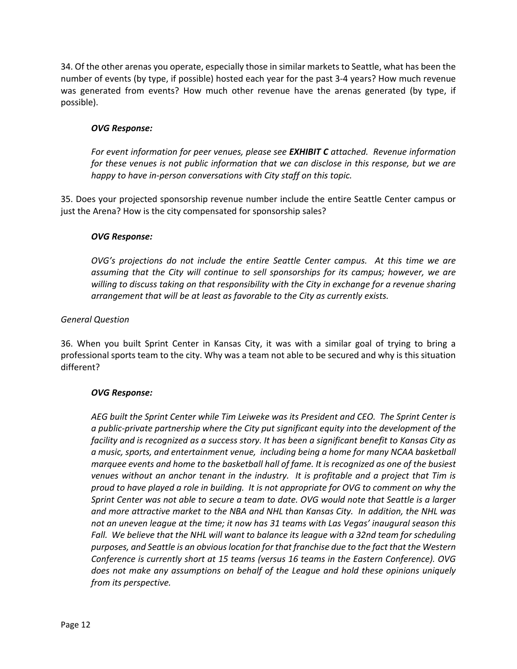34. Of the other arenas you operate, especially those in similar markets to Seattle, what has been the number of events (by type, if possible) hosted each year for the past 3‐4 years? How much revenue was generated from events? How much other revenue have the arenas generated (by type, if possible).

# *OVG Response:*

*For event information for peer venues, please see EXHIBIT C attached. Revenue information for these venues is not public information that we can disclose in this response, but we are happy to have in‐person conversations with City staff on this topic.*

35. Does your projected sponsorship revenue number include the entire Seattle Center campus or just the Arena? How is the city compensated for sponsorship sales?

### *OVG Response:*

*OVG's projections do not include the entire Seattle Center campus. At this time we are assuming that the City will continue to sell sponsorships for its campus; however, we are willing to discuss taking on that responsibility with the City in exchange for a revenue sharing arrangement that will be at least as favorable to the City as currently exists.*

### *General Question*

36. When you built Sprint Center in Kansas City, it was with a similar goal of trying to bring a professional sports team to the city. Why was a team not able to be secured and why is this situation different?

# *OVG Response:*

*AEG built the Sprint Center while Tim Leiweke was its President and CEO. The Sprint Center is a public‐private partnership where the City put significant equity into the development of the facility and is recognized as a success story. It has been a significant benefit to Kansas City as a music, sports, and entertainment venue, including being a home for many NCAA basketball marquee events and home to the basketball hall of fame. It is recognized as one of the busiest venues without an anchor tenant in the industry. It is profitable and a project that Tim is proud to have played a role in building. It is not appropriate for OVG to comment on why the Sprint Center was not able to secure a team to date. OVG would note that Seattle is a larger and more attractive market to the NBA and NHL than Kansas City. In addition, the NHL was not an uneven league at the time; it now has 31 teams with Las Vegas' inaugural season this Fall. We believe that the NHL will want to balance its league with a 32nd team for scheduling purposes, and Seattle is an obvious location for that franchise due to the fact that the Western Conference is currently short at 15 teams (versus 16 teams in the Eastern Conference). OVG does not make any assumptions on behalf of the League and hold these opinions uniquely from its perspective.*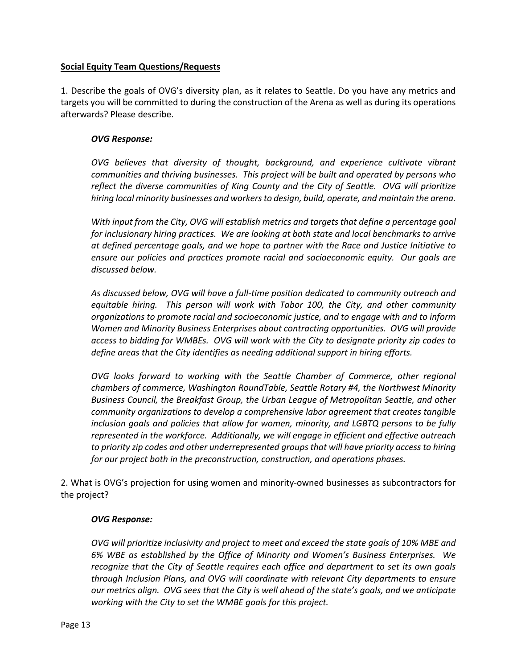### **Social Equity Team Questions/Requests**

1. Describe the goals of OVG's diversity plan, as it relates to Seattle. Do you have any metrics and targets you will be committed to during the construction of the Arena as well as during its operations afterwards? Please describe.

### *OVG Response:*

*OVG believes that diversity of thought, background, and experience cultivate vibrant communities and thriving businesses. This project will be built and operated by persons who reflect the diverse communities of King County and the City of Seattle. OVG will prioritize hiring local minority businesses and workers to design, build, operate, and maintain the arena.* 

*With input from the City, OVG will establish metrics and targets that define a percentage goal for inclusionary hiring practices. We are looking at both state and local benchmarks to arrive at defined percentage goals, and we hope to partner with the Race and Justice Initiative to ensure our policies and practices promote racial and socioeconomic equity. Our goals are discussed below.* 

*As discussed below, OVG will have a full‐time position dedicated to community outreach and equitable hiring. This person will work with Tabor 100, the City, and other community organizations to promote racial and socioeconomic justice, and to engage with and to inform Women and Minority Business Enterprises about contracting opportunities. OVG will provide access to bidding for WMBEs. OVG will work with the City to designate priority zip codes to define areas that the City identifies as needing additional support in hiring efforts.* 

*OVG looks forward to working with the Seattle Chamber of Commerce, other regional chambers of commerce, Washington RoundTable, Seattle Rotary #4, the Northwest Minority Business Council, the Breakfast Group, the Urban League of Metropolitan Seattle, and other community organizations to develop a comprehensive labor agreement that creates tangible inclusion goals and policies that allow for women, minority, and LGBTQ persons to be fully represented in the workforce. Additionally, we will engage in efficient and effective outreach to priority zip codes and other underrepresented groups that will have priority access to hiring for our project both in the preconstruction, construction, and operations phases.* 

2. What is OVG's projection for using women and minority‐owned businesses as subcontractors for the project?

### *OVG Response:*

*OVG will prioritize inclusivity and project to meet and exceed the state goals of 10% MBE and 6% WBE as established by the Office of Minority and Women's Business Enterprises. We recognize that the City of Seattle requires each office and department to set its own goals through Inclusion Plans, and OVG will coordinate with relevant City departments to ensure our metrics align. OVG sees that the City is well ahead of the state's goals, and we anticipate*  working with the City to set the WMBE goals for this project.